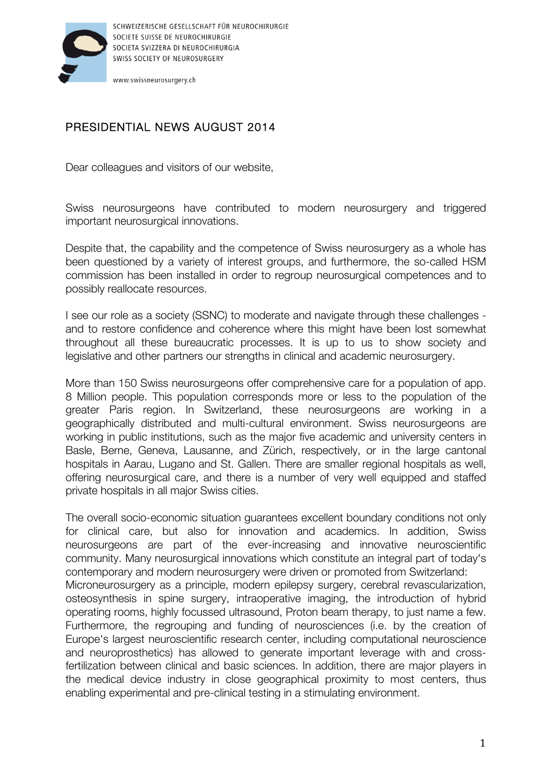

www.swissneurosurgery.ch

## PRESIDENTIAL NEWS AUGUST 2014

Dear colleagues and visitors of our website,

Swiss neurosurgeons have contributed to modern neurosurgery and triggered important neurosurgical innovations.

Despite that, the capability and the competence of Swiss neurosurgery as a whole has been questioned by a variety of interest groups, and furthermore, the so-called HSM commission has been installed in order to regroup neurosurgical competences and to possibly reallocate resources.

I see our role as a society (SSNC) to moderate and navigate through these challenges and to restore confidence and coherence where this might have been lost somewhat throughout all these bureaucratic processes. It is up to us to show society and legislative and other partners our strengths in clinical and academic neurosurgery.

More than 150 Swiss neurosurgeons offer comprehensive care for a population of app. 8 Million people. This population corresponds more or less to the population of the greater Paris region. In Switzerland, these neurosurgeons are working in a geographically distributed and multi-cultural environment. Swiss neurosurgeons are working in public institutions, such as the major five academic and university centers in Basle, Berne, Geneva, Lausanne, and Zürich, respectively, or in the large cantonal hospitals in Aarau, Lugano and St. Gallen. There are smaller regional hospitals as well, offering neurosurgical care, and there is a number of very well equipped and staffed private hospitals in all major Swiss cities.

The overall socio-economic situation guarantees excellent boundary conditions not only for clinical care, but also for innovation and academics. In addition, Swiss neurosurgeons are part of the ever-increasing and innovative neuroscientific community. Many neurosurgical innovations which constitute an integral part of today's contemporary and modern neurosurgery were driven or promoted from Switzerland: Microneurosurgery as a principle, modern epilepsy surgery, cerebral revascularization, osteosynthesis in spine surgery, intraoperative imaging, the introduction of hybrid operating rooms, highly focussed ultrasound, Proton beam therapy, to just name a few. Furthermore, the regrouping and funding of neurosciences (i.e. by the creation of Europe's largest neuroscientific research center, including computational neuroscience and neuroprosthetics) has allowed to generate important leverage with and crossfertilization between clinical and basic sciences. In addition, there are major players in the medical device industry in close geographical proximity to most centers, thus enabling experimental and pre-clinical testing in a stimulating environment.